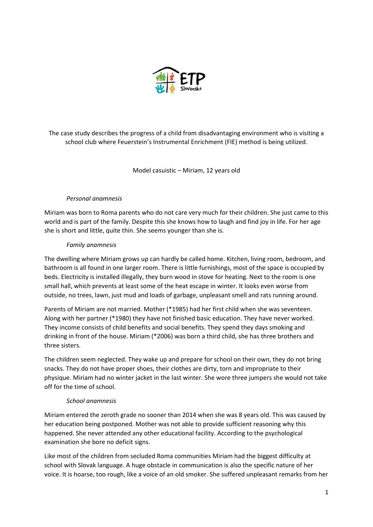

The case study describes the progress of a child from disadvantaging environment who is visiting a school club where Feuerstein's Instrumental Enrichment (FIE) method is being utilized.

Model casuistic – Miriam, 12 years old

# *Personal anamnesis*

Miriam was born to Roma parents who do not care very much for their children. She just came to this world and is part of the family. Despite this she knows how to laugh and find joy in life. For her age she is short and little, quite thin. She seems younger than she is.

# *Family anamnesis*

The dwelling where Miriam grows up can hardly be called home. Kitchen, living room, bedroom, and bathroom is all found in one larger room. There is little furnishings, most of the space is occupied by beds. Electricity is installed illegally, they burn wood in stove for heating. Next to the room is one small hall, which prevents at least some of the heat escape in winter. It looks even worse from outside, no trees, lawn, just mud and loads of garbage, unpleasant smell and rats running around.

Parents of Miriam are not married. Mother (\*1985) had her first child when she was seventeen. Along with her partner (\*1980) they have not finished basic education. They have never worked. They income consists of child benefits and social benefits. They spend they days smoking and drinking in front of the house. Miriam (\*2006) was born a third child, she has three brothers and three sisters.

The children seem neglected. They wake up and prepare for school on their own, they do not bring snacks. They do not have proper shoes, their clothes are dirty, torn and impropriate to their physique. Miriam had no winter jacket in the last winter. She wore three jumpers she would not take off for the time of school.

# *School anamnesis*

Miriam entered the zeroth grade no sooner than 2014 when she was 8 years old. This was caused by her education being postponed. Mother was not able to provide sufficient reasoning why this happened. She never attended any other educational facility. According to the psychological examination she bore no deficit signs.

Like most of the children from secluded Roma communities Miriam had the biggest difficulty at school with Slovak language. A huge obstacle in communication is also the specific nature of her voice. It is hoarse, too rough, like a voice of an old smoker. She suffered unpleasant remarks from her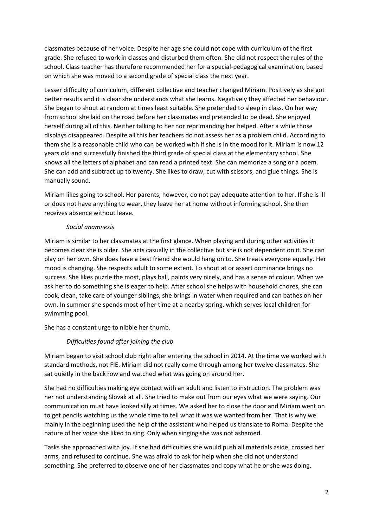classmates because of her voice. Despite her age she could not cope with curriculum of the first grade. She refused to work in classes and disturbed them often. She did not respect the rules of the school. Class teacher has therefore recommended her for a special-pedagogical examination, based on which she was moved to a second grade of special class the next year.

Lesser difficulty of curriculum, different collective and teacher changed Miriam. Positively as she got better results and it is clear she understands what she learns. Negatively they affected her behaviour. She began to shout at random at times least suitable. She pretended to sleep in class. On her way from school she laid on the road before her classmates and pretended to be dead. She enjoyed herself during all of this. Neither talking to her nor reprimanding her helped. After a while those displays disappeared. Despite all this her teachers do not assess her as a problem child. According to them she is a reasonable child who can be worked with if she is in the mood for it. Miriam is now 12 years old and successfully finished the third grade of special class at the elementary school. She knows all the letters of alphabet and can read a printed text. She can memorize a song or a poem. She can add and subtract up to twenty. She likes to draw, cut with scissors, and glue things. She is manually sound.

Miriam likes going to school. Her parents, however, do not pay adequate attention to her. If she is ill or does not have anything to wear, they leave her at home without informing school. She then receives absence without leave.

## *Social anamnesis*

Miriam is similar to her classmates at the first glance. When playing and during other activities it becomes clear she is older. She acts casually in the collective but she is not dependent on it. She can play on her own. She does have a best friend she would hang on to. She treats everyone equally. Her mood is changing. She respects adult to some extent. To shout at or assert dominance brings no success. She likes puzzle the most, plays ball, paints very nicely, and has a sense of colour. When we ask her to do something she is eager to help. After school she helps with household chores, she can cook, clean, take care of younger siblings, she brings in water when required and can bathes on her own. In summer she spends most of her time at a nearby spring, which serves local children for swimming pool.

She has a constant urge to nibble her thumb.

# *Difficulties found after joining the club*

Miriam began to visit school club right after entering the school in 2014. At the time we worked with standard methods, not FIE. Miriam did not really come through among her twelve classmates. She sat quietly in the back row and watched what was going on around her.

She had no difficulties making eye contact with an adult and listen to instruction. The problem was her not understanding Slovak at all. She tried to make out from our eyes what we were saying. Our communication must have looked silly at times. We asked her to close the door and Miriam went on to get pencils watching us the whole time to tell what it was we wanted from her. That is why we mainly in the beginning used the help of the assistant who helped us translate to Roma. Despite the nature of her voice she liked to sing. Only when singing she was not ashamed.

Tasks she approached with joy. If she had difficulties she would push all materials aside, crossed her arms, and refused to continue. She was afraid to ask for help when she did not understand something. She preferred to observe one of her classmates and copy what he or she was doing.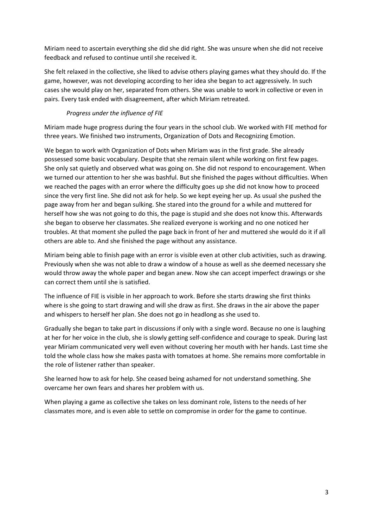Miriam need to ascertain everything she did she did right. She was unsure when she did not receive feedback and refused to continue until she received it.

She felt relaxed in the collective, she liked to advise others playing games what they should do. If the game, however, was not developing according to her idea she began to act aggressively. In such cases she would play on her, separated from others. She was unable to work in collective or even in pairs. Every task ended with disagreement, after which Miriam retreated.

# *Progress under the influence of FIE*

Miriam made huge progress during the four years in the school club. We worked with FIE method for three years. We finished two instruments, Organization of Dots and Recognizing Emotion.

We began to work with Organization of Dots when Miriam was in the first grade. She already possessed some basic vocabulary. Despite that she remain silent while working on first few pages. She only sat quietly and observed what was going on. She did not respond to encouragement. When we turned our attention to her she was bashful. But she finished the pages without difficulties. When we reached the pages with an error where the difficulty goes up she did not know how to proceed since the very first line. She did not ask for help. So we kept eyeing her up. As usual she pushed the page away from her and began sulking. She stared into the ground for a while and muttered for herself how she was not going to do this, the page is stupid and she does not know this. Afterwards she began to observe her classmates. She realized everyone is working and no one noticed her troubles. At that moment she pulled the page back in front of her and muttered she would do it if all others are able to. And she finished the page without any assistance.

Miriam being able to finish page with an error is visible even at other club activities, such as drawing. Previously when she was not able to draw a window of a house as well as she deemed necessary she would throw away the whole paper and began anew. Now she can accept imperfect drawings or she can correct them until she is satisfied.

The influence of FIE is visible in her approach to work. Before she starts drawing she first thinks where is she going to start drawing and will she draw as first. She draws in the air above the paper and whispers to herself her plan. She does not go in headlong as she used to.

Gradually she began to take part in discussions if only with a single word. Because no one is laughing at her for her voice in the club, she is slowly getting self-confidence and courage to speak. During last year Miriam communicated very well even without covering her mouth with her hands. Last time she told the whole class how she makes pasta with tomatoes at home. She remains more comfortable in the role of listener rather than speaker.

She learned how to ask for help. She ceased being ashamed for not understand something. She overcame her own fears and shares her problem with us.

When playing a game as collective she takes on less dominant role, listens to the needs of her classmates more, and is even able to settle on compromise in order for the game to continue.